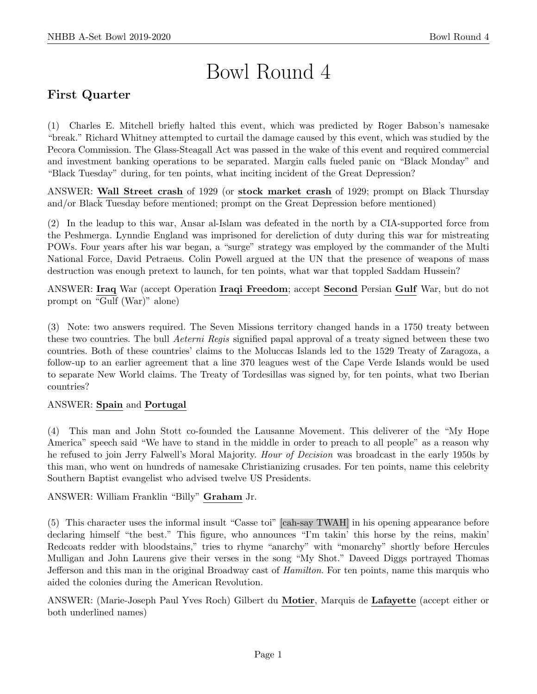# Bowl Round 4

# First Quarter

(1) Charles E. Mitchell briefly halted this event, which was predicted by Roger Babson's namesake "break." Richard Whitney attempted to curtail the damage caused by this event, which was studied by the Pecora Commission. The Glass-Steagall Act was passed in the wake of this event and required commercial and investment banking operations to be separated. Margin calls fueled panic on "Black Monday" and "Black Tuesday" during, for ten points, what inciting incident of the Great Depression?

ANSWER: Wall Street crash of 1929 (or stock market crash of 1929; prompt on Black Thursday and/or Black Tuesday before mentioned; prompt on the Great Depression before mentioned)

(2) In the leadup to this war, Ansar al-Islam was defeated in the north by a CIA-supported force from the Peshmerga. Lynndie England was imprisoned for dereliction of duty during this war for mistreating POWs. Four years after his war began, a "surge" strategy was employed by the commander of the Multi National Force, David Petraeus. Colin Powell argued at the UN that the presence of weapons of mass destruction was enough pretext to launch, for ten points, what war that toppled Saddam Hussein?

ANSWER: Iraq War (accept Operation Iraqi Freedom; accept Second Persian Gulf War, but do not prompt on "Gulf (War)" alone)

(3) Note: two answers required. The Seven Missions territory changed hands in a 1750 treaty between these two countries. The bull *Aeterni Regis* signified papal approval of a treaty signed between these two countries. Both of these countries' claims to the Moluccas Islands led to the 1529 Treaty of Zaragoza, a follow-up to an earlier agreement that a line 370 leagues west of the Cape Verde Islands would be used to separate New World claims. The Treaty of Tordesillas was signed by, for ten points, what two Iberian countries?

# ANSWER: Spain and Portugal

(4) This man and John Stott co-founded the Lausanne Movement. This deliverer of the "My Hope America" speech said "We have to stand in the middle in order to preach to all people" as a reason why he refused to join Jerry Falwell's Moral Majority. Hour of Decision was broadcast in the early 1950s by this man, who went on hundreds of namesake Christianizing crusades. For ten points, name this celebrity Southern Baptist evangelist who advised twelve US Presidents.

ANSWER: William Franklin "Billy" Graham Jr.

(5) This character uses the informal insult "Casse toi" [cah-say TWAH] in his opening appearance before declaring himself "the best." This figure, who announces "I'm takin' this horse by the reins, makin' Redcoats redder with bloodstains," tries to rhyme "anarchy" with "monarchy" shortly before Hercules Mulligan and John Laurens give their verses in the song "My Shot." Daveed Diggs portrayed Thomas Jefferson and this man in the original Broadway cast of Hamilton. For ten points, name this marquis who aided the colonies during the American Revolution.

ANSWER: (Marie-Joseph Paul Yves Roch) Gilbert du Motier, Marquis de Lafayette (accept either or both underlined names)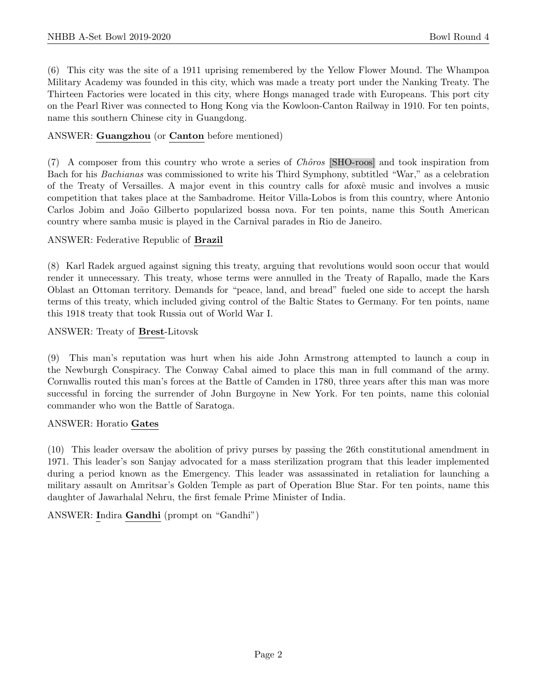(6) This city was the site of a 1911 uprising remembered by the Yellow Flower Mound. The Whampoa Military Academy was founded in this city, which was made a treaty port under the Nanking Treaty. The Thirteen Factories were located in this city, where Hongs managed trade with Europeans. This port city on the Pearl River was connected to Hong Kong via the Kowloon-Canton Railway in 1910. For ten points, name this southern Chinese city in Guangdong.

# ANSWER: Guangzhou (or Canton before mentioned)

 $(7)$  A composer from this country who wrote a series of *Chôros* [SHO-roos] and took inspiration from Bach for his Bachianas was commissioned to write his Third Symphony, subtitled "War," as a celebration of the Treaty of Versailles. A major event in this country calls for a foxê music and involves a music competition that takes place at the Sambadrome. Heitor Villa-Lobos is from this country, where Antonio Carlos Jobim and João Gilberto popularized bossa nova. For ten points, name this South American country where samba music is played in the Carnival parades in Rio de Janeiro.

#### ANSWER: Federative Republic of Brazil

(8) Karl Radek argued against signing this treaty, arguing that revolutions would soon occur that would render it unnecessary. This treaty, whose terms were annulled in the Treaty of Rapallo, made the Kars Oblast an Ottoman territory. Demands for "peace, land, and bread" fueled one side to accept the harsh terms of this treaty, which included giving control of the Baltic States to Germany. For ten points, name this 1918 treaty that took Russia out of World War I.

#### ANSWER: Treaty of Brest-Litovsk

(9) This man's reputation was hurt when his aide John Armstrong attempted to launch a coup in the Newburgh Conspiracy. The Conway Cabal aimed to place this man in full command of the army. Cornwallis routed this man's forces at the Battle of Camden in 1780, three years after this man was more successful in forcing the surrender of John Burgoyne in New York. For ten points, name this colonial commander who won the Battle of Saratoga.

#### ANSWER: Horatio Gates

(10) This leader oversaw the abolition of privy purses by passing the 26th constitutional amendment in 1971. This leader's son Sanjay advocated for a mass sterilization program that this leader implemented during a period known as the Emergency. This leader was assassinated in retaliation for launching a military assault on Amritsar's Golden Temple as part of Operation Blue Star. For ten points, name this daughter of Jawarhalal Nehru, the first female Prime Minister of India.

ANSWER: Indira Gandhi (prompt on "Gandhi")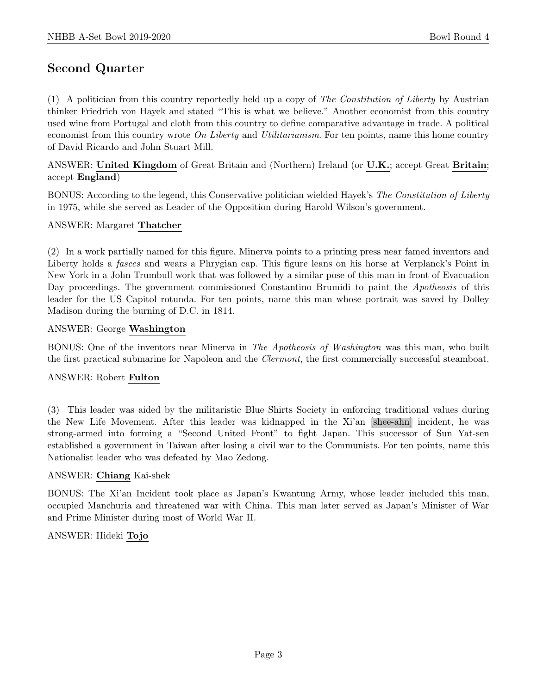# Second Quarter

(1) A politician from this country reportedly held up a copy of The Constitution of Liberty by Austrian thinker Friedrich von Hayek and stated "This is what we believe." Another economist from this country used wine from Portugal and cloth from this country to define comparative advantage in trade. A political economist from this country wrote  $\overline{On}$  Liberty and Utilitarianism. For ten points, name this home country of David Ricardo and John Stuart Mill.

ANSWER: United Kingdom of Great Britain and (Northern) Ireland (or U.K.; accept Great Britain; accept England)

BONUS: According to the legend, this Conservative politician wielded Hayek's The Constitution of Liberty in 1975, while she served as Leader of the Opposition during Harold Wilson's government.

#### ANSWER: Margaret Thatcher

(2) In a work partially named for this figure, Minerva points to a printing press near famed inventors and Liberty holds a *fasces* and wears a Phrygian cap. This figure leans on his horse at Verplanck's Point in New York in a John Trumbull work that was followed by a similar pose of this man in front of Evacuation Day proceedings. The government commissioned Constantino Brumidi to paint the *Apotheosis* of this leader for the US Capitol rotunda. For ten points, name this man whose portrait was saved by Dolley Madison during the burning of D.C. in 1814.

#### ANSWER: George Washington

BONUS: One of the inventors near Minerva in The Apotheosis of Washington was this man, who built the first practical submarine for Napoleon and the *Clermont*, the first commercially successful steamboat.

# ANSWER: Robert Fulton

(3) This leader was aided by the militaristic Blue Shirts Society in enforcing traditional values during the New Life Movement. After this leader was kidnapped in the Xi'an [shee-ahn] incident, he was strong-armed into forming a "Second United Front" to fight Japan. This successor of Sun Yat-sen established a government in Taiwan after losing a civil war to the Communists. For ten points, name this Nationalist leader who was defeated by Mao Zedong.

# ANSWER: Chiang Kai-shek

BONUS: The Xi'an Incident took place as Japan's Kwantung Army, whose leader included this man, occupied Manchuria and threatened war with China. This man later served as Japan's Minister of War and Prime Minister during most of World War II.

# ANSWER: Hideki Tojo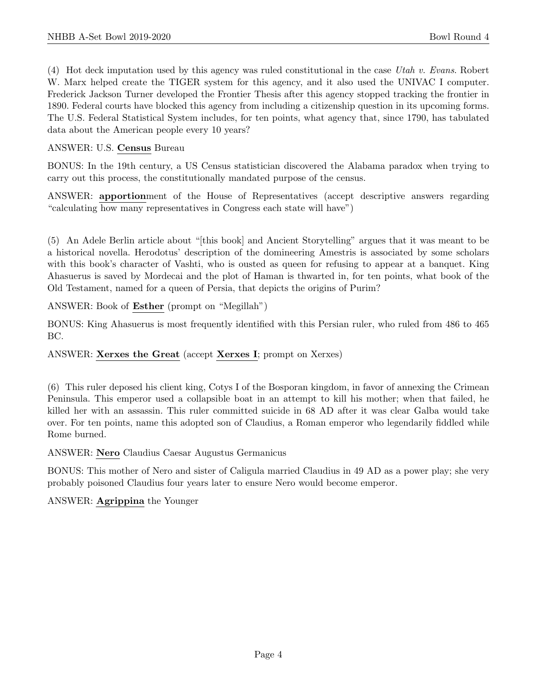(4) Hot deck imputation used by this agency was ruled constitutional in the case Utah v. Evans. Robert W. Marx helped create the TIGER system for this agency, and it also used the UNIVAC I computer. Frederick Jackson Turner developed the Frontier Thesis after this agency stopped tracking the frontier in 1890. Federal courts have blocked this agency from including a citizenship question in its upcoming forms. The U.S. Federal Statistical System includes, for ten points, what agency that, since 1790, has tabulated data about the American people every 10 years?

# ANSWER: U.S. Census Bureau

BONUS: In the 19th century, a US Census statistician discovered the Alabama paradox when trying to carry out this process, the constitutionally mandated purpose of the census.

ANSWER: apportionment of the House of Representatives (accept descriptive answers regarding "calculating how many representatives in Congress each state will have")

(5) An Adele Berlin article about "[this book] and Ancient Storytelling" argues that it was meant to be a historical novella. Herodotus' description of the domineering Amestris is associated by some scholars with this book's character of Vashti, who is ousted as queen for refusing to appear at a banquet. King Ahasuerus is saved by Mordecai and the plot of Haman is thwarted in, for ten points, what book of the Old Testament, named for a queen of Persia, that depicts the origins of Purim?

ANSWER: Book of Esther (prompt on "Megillah")

BONUS: King Ahasuerus is most frequently identified with this Persian ruler, who ruled from 486 to 465 BC.

ANSWER: Xerxes the Great (accept Xerxes I; prompt on Xerxes)

(6) This ruler deposed his client king, Cotys I of the Bosporan kingdom, in favor of annexing the Crimean Peninsula. This emperor used a collapsible boat in an attempt to kill his mother; when that failed, he killed her with an assassin. This ruler committed suicide in 68 AD after it was clear Galba would take over. For ten points, name this adopted son of Claudius, a Roman emperor who legendarily fiddled while Rome burned.

ANSWER: Nero Claudius Caesar Augustus Germanicus

BONUS: This mother of Nero and sister of Caligula married Claudius in 49 AD as a power play; she very probably poisoned Claudius four years later to ensure Nero would become emperor.

# ANSWER: Agrippina the Younger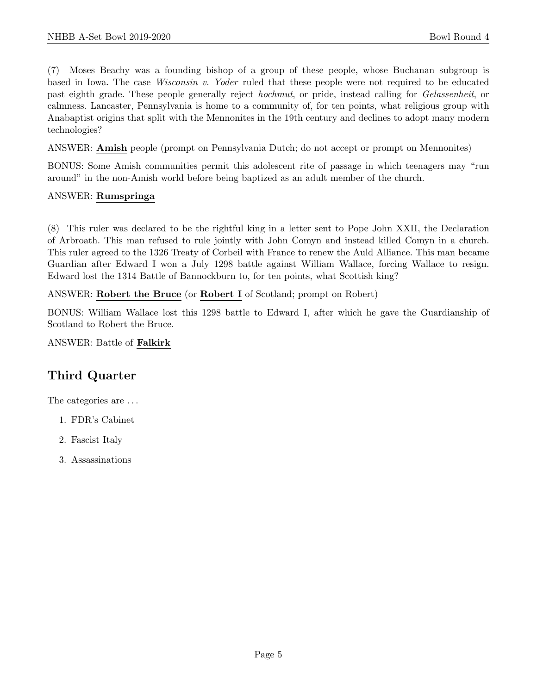(7) Moses Beachy was a founding bishop of a group of these people, whose Buchanan subgroup is based in Iowa. The case Wisconsin v. Yoder ruled that these people were not required to be educated past eighth grade. These people generally reject hochmut, or pride, instead calling for Gelassenheit, or calmness. Lancaster, Pennsylvania is home to a community of, for ten points, what religious group with Anabaptist origins that split with the Mennonites in the 19th century and declines to adopt many modern technologies?

ANSWER: Amish people (prompt on Pennsylvania Dutch; do not accept or prompt on Mennonites)

BONUS: Some Amish communities permit this adolescent rite of passage in which teenagers may "run around" in the non-Amish world before being baptized as an adult member of the church.

# ANSWER: Rumspringa

(8) This ruler was declared to be the rightful king in a letter sent to Pope John XXII, the Declaration of Arbroath. This man refused to rule jointly with John Comyn and instead killed Comyn in a church. This ruler agreed to the 1326 Treaty of Corbeil with France to renew the Auld Alliance. This man became Guardian after Edward I won a July 1298 battle against William Wallace, forcing Wallace to resign. Edward lost the 1314 Battle of Bannockburn to, for ten points, what Scottish king?

# ANSWER: Robert the Bruce (or Robert I of Scotland; prompt on Robert)

BONUS: William Wallace lost this 1298 battle to Edward I, after which he gave the Guardianship of Scotland to Robert the Bruce.

ANSWER: Battle of Falkirk

# Third Quarter

The categories are . . .

- 1. FDR's Cabinet
- 2. Fascist Italy
- 3. Assassinations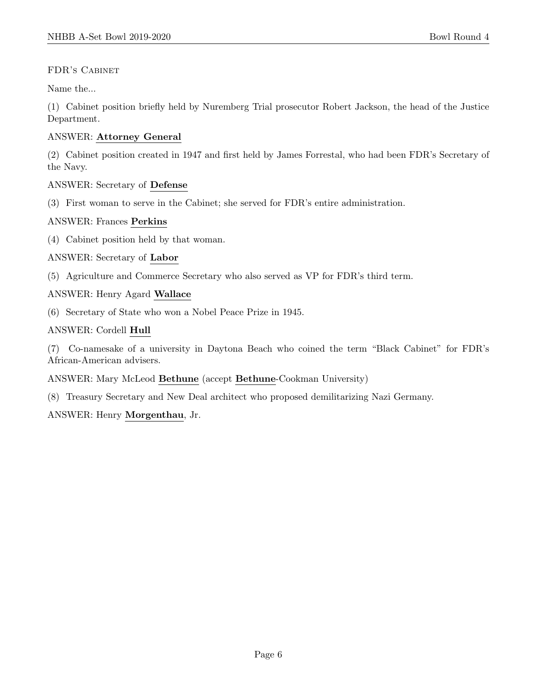# FDR's Cabinet

Name the...

(1) Cabinet position briefly held by Nuremberg Trial prosecutor Robert Jackson, the head of the Justice Department.

# ANSWER: Attorney General

(2) Cabinet position created in 1947 and first held by James Forrestal, who had been FDR's Secretary of the Navy.

# ANSWER: Secretary of Defense

(3) First woman to serve in the Cabinet; she served for FDR's entire administration.

# ANSWER: Frances Perkins

(4) Cabinet position held by that woman.

# ANSWER: Secretary of Labor

(5) Agriculture and Commerce Secretary who also served as VP for FDR's third term.

# ANSWER: Henry Agard Wallace

(6) Secretary of State who won a Nobel Peace Prize in 1945.

# ANSWER: Cordell Hull

(7) Co-namesake of a university in Daytona Beach who coined the term "Black Cabinet" for FDR's African-American advisers.

# ANSWER: Mary McLeod Bethune (accept Bethune-Cookman University)

(8) Treasury Secretary and New Deal architect who proposed demilitarizing Nazi Germany.

ANSWER: Henry Morgenthau, Jr.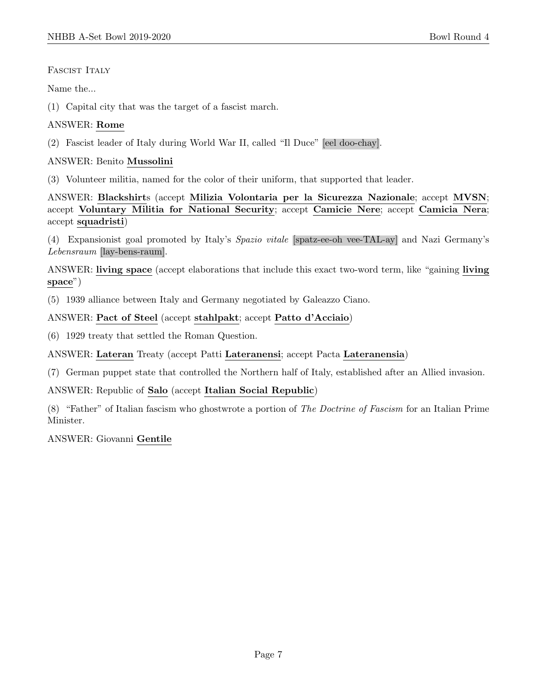FASCIST ITALY

Name the...

(1) Capital city that was the target of a fascist march.

# ANSWER: Rome

(2) Fascist leader of Italy during World War II, called "Il Duce" [eel doo-chay].

# ANSWER: Benito Mussolini

(3) Volunteer militia, named for the color of their uniform, that supported that leader.

ANSWER: Blackshirts (accept Milizia Volontaria per la Sicurezza Nazionale; accept MVSN; accept Voluntary Militia for National Security; accept Camicie Nere; accept Camicia Nera; accept squadristi)

(4) Expansionist goal promoted by Italy's Spazio vitale [spatz-ee-oh vee-TAL-ay] and Nazi Germany's Lebensraum [lay-bens-raum].

ANSWER: living space (accept elaborations that include this exact two-word term, like "gaining living space")

(5) 1939 alliance between Italy and Germany negotiated by Galeazzo Ciano.

# ANSWER: Pact of Steel (accept stahlpakt; accept Patto d'Acciaio)

(6) 1929 treaty that settled the Roman Question.

ANSWER: Lateran Treaty (accept Patti Lateranensi; accept Pacta Lateranensia)

(7) German puppet state that controlled the Northern half of Italy, established after an Allied invasion.

ANSWER: Republic of Salo (accept Italian Social Republic)

(8) "Father" of Italian fascism who ghostwrote a portion of The Doctrine of Fascism for an Italian Prime Minister.

# ANSWER: Giovanni Gentile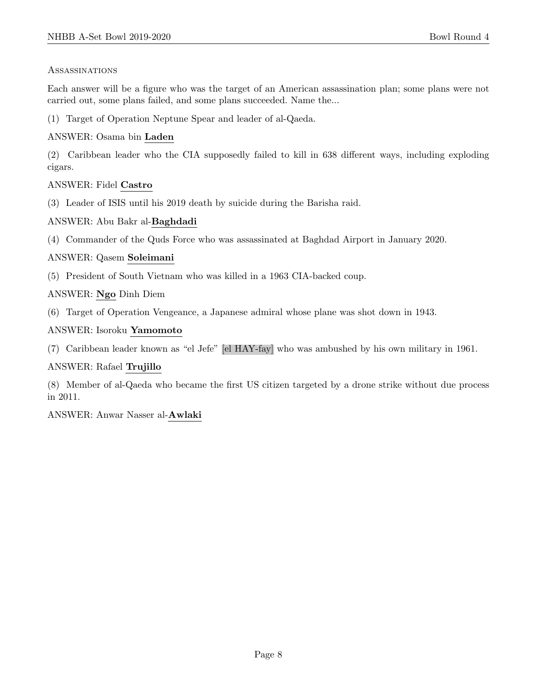#### Assassinations

Each answer will be a figure who was the target of an American assassination plan; some plans were not carried out, some plans failed, and some plans succeeded. Name the...

(1) Target of Operation Neptune Spear and leader of al-Qaeda.

# ANSWER: Osama bin Laden

(2) Caribbean leader who the CIA supposedly failed to kill in 638 different ways, including exploding cigars.

# ANSWER: Fidel Castro

(3) Leader of ISIS until his 2019 death by suicide during the Barisha raid.

# ANSWER: Abu Bakr al-Baghdadi

(4) Commander of the Quds Force who was assassinated at Baghdad Airport in January 2020.

# ANSWER: Qasem Soleimani

(5) President of South Vietnam who was killed in a 1963 CIA-backed coup.

# ANSWER: Ngo Dinh Diem

(6) Target of Operation Vengeance, a Japanese admiral whose plane was shot down in 1943.

# ANSWER: Isoroku Yamomoto

(7) Caribbean leader known as "el Jefe" [el HAY-fay] who was ambushed by his own military in 1961.

# ANSWER: Rafael Trujillo

(8) Member of al-Qaeda who became the first US citizen targeted by a drone strike without due process in 2011.

ANSWER: Anwar Nasser al-Awlaki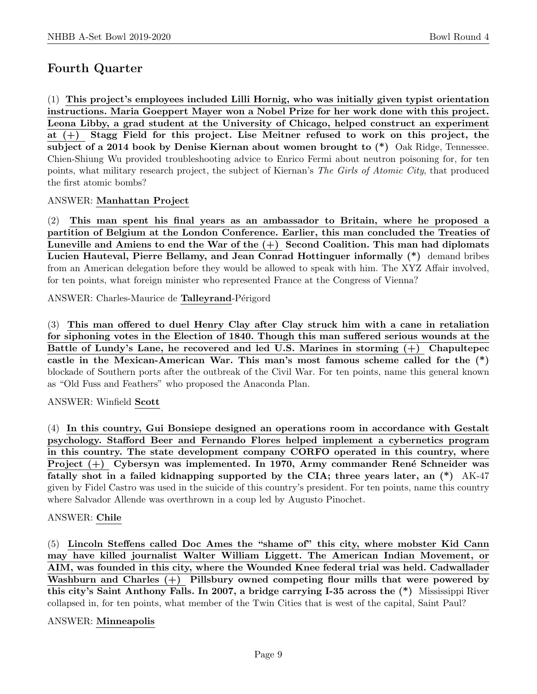# Fourth Quarter

(1) This project's employees included Lilli Hornig, who was initially given typist orientation instructions. Maria Goeppert Mayer won a Nobel Prize for her work done with this project. Leona Libby, a grad student at the University of Chicago, helped construct an experiment at (+) Stagg Field for this project. Lise Meitner refused to work on this project, the subject of a 2014 book by Denise Kiernan about women brought to (\*) Oak Ridge, Tennessee. Chien-Shiung Wu provided troubleshooting advice to Enrico Fermi about neutron poisoning for, for ten points, what military research project, the subject of Kiernan's The Girls of Atomic City, that produced the first atomic bombs?

# ANSWER: Manhattan Project

(2) This man spent his final years as an ambassador to Britain, where he proposed a partition of Belgium at the London Conference. Earlier, this man concluded the Treaties of Luneville and Amiens to end the War of the  $(+)$  Second Coalition. This man had diplomats Lucien Hauteval, Pierre Bellamy, and Jean Conrad Hottinguer informally (\*) demand bribes from an American delegation before they would be allowed to speak with him. The XYZ Affair involved, for ten points, what foreign minister who represented France at the Congress of Vienna?

ANSWER: Charles-Maurice de **Talleyrand**-Périgord

(3) This man offered to duel Henry Clay after Clay struck him with a cane in retaliation for siphoning votes in the Election of 1840. Though this man suffered serious wounds at the Battle of Lundy's Lane, he recovered and led U.S. Marines in storming (+) Chapultepec castle in the Mexican-American War. This man's most famous scheme called for the (\*) blockade of Southern ports after the outbreak of the Civil War. For ten points, name this general known as "Old Fuss and Feathers" who proposed the Anaconda Plan.

# ANSWER: Winfield Scott

(4) In this country, Gui Bonsiepe designed an operations room in accordance with Gestalt psychology. Stafford Beer and Fernando Flores helped implement a cybernetics program in this country. The state development company CORFO operated in this country, where Project  $(+)$  Cybersyn was implemented. In 1970, Army commander René Schneider was fatally shot in a failed kidnapping supported by the CIA; three years later, an (\*) AK-47 given by Fidel Castro was used in the suicide of this country's president. For ten points, name this country where Salvador Allende was overthrown in a coup led by Augusto Pinochet.

# ANSWER: Chile

(5) Lincoln Steffens called Doc Ames the "shame of" this city, where mobster Kid Cann may have killed journalist Walter William Liggett. The American Indian Movement, or AIM, was founded in this city, where the Wounded Knee federal trial was held. Cadwallader Washburn and Charles (+) Pillsbury owned competing flour mills that were powered by this city's Saint Anthony Falls. In 2007, a bridge carrying I-35 across the (\*) Mississippi River collapsed in, for ten points, what member of the Twin Cities that is west of the capital, Saint Paul?

# ANSWER: Minneapolis